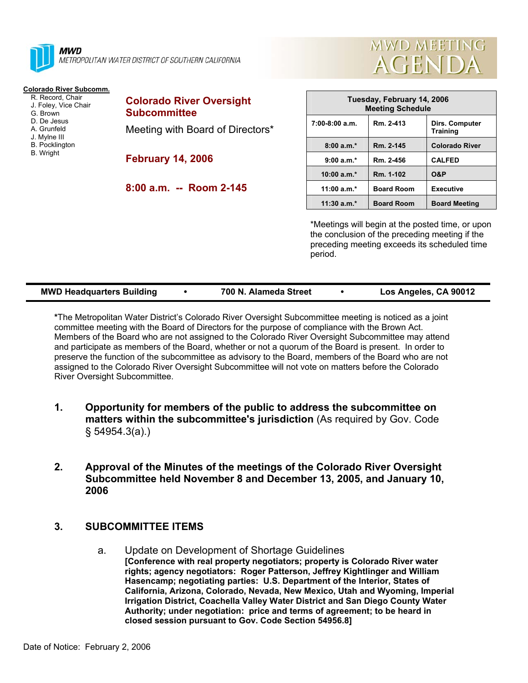

**MWD** METROPOLITAN WATER DISTRICT OF SOUTHERN CALIFORNIA

## **Colorado River Subcomm.**

- R. Record, Chair J. Foley, Vice Chair G. Brown D. De Jesus A. Grunfeld J. Mylne III B. Pocklington
- B. Wright

**Colorado River Oversight Subcommittee**  Meeting with Board of Directors\*

**February 14, 2006** 

**8:00 a.m. -- Room 2-145** 

| Tuesday, February 14, 2006<br><b>Meeting Schedule</b> |                   |                                   |  |  |
|-------------------------------------------------------|-------------------|-----------------------------------|--|--|
| $7:00-8:00$ a.m.                                      | Rm. 2-413         | Dirs. Computer<br><b>Training</b> |  |  |
| $8:00a.m.*$                                           | Rm. 2-145         | <b>Colorado River</b>             |  |  |
| $9:00 a.m.*$                                          | Rm. 2-456         | <b>CALFED</b>                     |  |  |
| $10:00$ a.m.*                                         | Rm. 1-102         | <b>O&amp;P</b>                    |  |  |
| 11:00 $a.m.*$                                         | <b>Board Room</b> | <b>Executive</b>                  |  |  |
| $11:30$ a.m. <sup>*</sup>                             | <b>Board Room</b> | <b>Board Meeting</b>              |  |  |

**MWD MEETING** 

**AGENDA** 

\*Meetings will begin at the posted time, or upon the conclusion of the preceding meeting if the preceding meeting exceeds its scheduled time period.

| <b>MWD Headquarters Building</b> | 700 N. Alameda Street |  | Los Angeles, CA 90012 |
|----------------------------------|-----------------------|--|-----------------------|
|----------------------------------|-----------------------|--|-----------------------|

**\***The Metropolitan Water District's Colorado River Oversight Subcommittee meeting is noticed as a joint committee meeting with the Board of Directors for the purpose of compliance with the Brown Act. Members of the Board who are not assigned to the Colorado River Oversight Subcommittee may attend and participate as members of the Board, whether or not a quorum of the Board is present. In order to preserve the function of the subcommittee as advisory to the Board, members of the Board who are not assigned to the Colorado River Oversight Subcommittee will not vote on matters before the Colorado River Oversight Subcommittee.

- **1. Opportunity for members of the public to address the subcommittee on matters within the subcommittee's jurisdiction** (As required by Gov. Code § 54954.3(a).)
- **2. Approval of the Minutes of the meetings of the Colorado River Oversight Subcommittee held November 8 and December 13, 2005, and January 10, 2006**

## **3. SUBCOMMITTEE ITEMS**

a. Update on Development of Shortage Guidelines **[Conference with real property negotiators; property is Colorado River water rights; agency negotiators: Roger Patterson, Jeffrey Kightlinger and William Hasencamp; negotiating parties: U.S. Department of the Interior, States of California, Arizona, Colorado, Nevada, New Mexico, Utah and Wyoming, Imperial Irrigation District, Coachella Valley Water District and San Diego County Water Authority; under negotiation: price and terms of agreement; to be heard in closed session pursuant to Gov. Code Section 54956.8]**